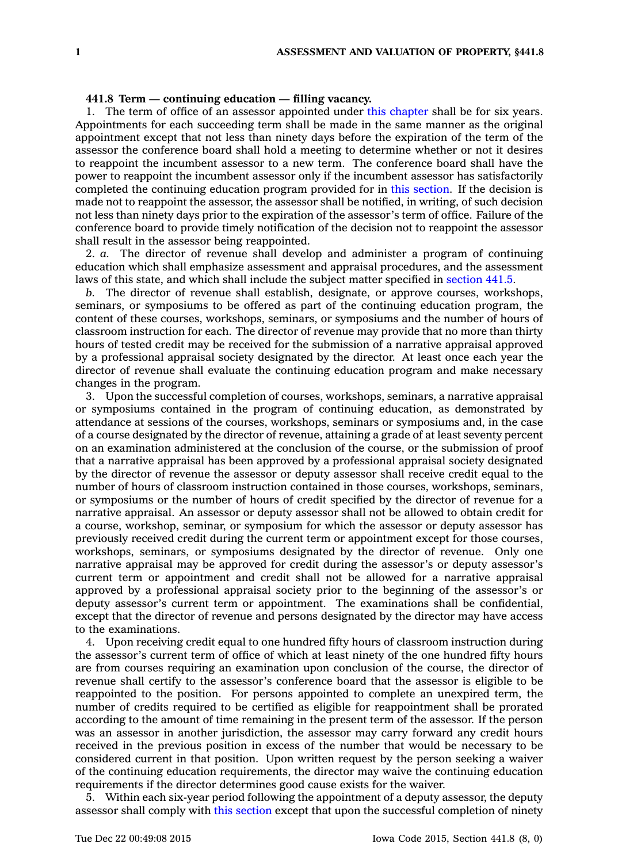## **441.8 Term — continuing education — filling vacancy.**

1. The term of office of an assessor appointed under this [chapter](https://www.legis.iowa.gov/docs/code//441.pdf) shall be for six years. Appointments for each succeeding term shall be made in the same manner as the original appointment except that not less than ninety days before the expiration of the term of the assessor the conference board shall hold <sup>a</sup> meeting to determine whether or not it desires to reappoint the incumbent assessor to <sup>a</sup> new term. The conference board shall have the power to reappoint the incumbent assessor only if the incumbent assessor has satisfactorily completed the continuing education program provided for in this [section](https://www.legis.iowa.gov/docs/code//441.8.pdf). If the decision is made not to reappoint the assessor, the assessor shall be notified, in writing, of such decision not less than ninety days prior to the expiration of the assessor's term of office. Failure of the conference board to provide timely notification of the decision not to reappoint the assessor shall result in the assessor being reappointed.

2. *a.* The director of revenue shall develop and administer <sup>a</sup> program of continuing education which shall emphasize assessment and appraisal procedures, and the assessment laws of this state, and which shall include the subject matter specified in [section](https://www.legis.iowa.gov/docs/code//441.5.pdf) 441.5.

*b.* The director of revenue shall establish, designate, or approve courses, workshops, seminars, or symposiums to be offered as part of the continuing education program, the content of these courses, workshops, seminars, or symposiums and the number of hours of classroom instruction for each. The director of revenue may provide that no more than thirty hours of tested credit may be received for the submission of <sup>a</sup> narrative appraisal approved by <sup>a</sup> professional appraisal society designated by the director. At least once each year the director of revenue shall evaluate the continuing education program and make necessary changes in the program.

3. Upon the successful completion of courses, workshops, seminars, <sup>a</sup> narrative appraisal or symposiums contained in the program of continuing education, as demonstrated by attendance at sessions of the courses, workshops, seminars or symposiums and, in the case of <sup>a</sup> course designated by the director of revenue, attaining <sup>a</sup> grade of at least seventy percent on an examination administered at the conclusion of the course, or the submission of proof that <sup>a</sup> narrative appraisal has been approved by <sup>a</sup> professional appraisal society designated by the director of revenue the assessor or deputy assessor shall receive credit equal to the number of hours of classroom instruction contained in those courses, workshops, seminars, or symposiums or the number of hours of credit specified by the director of revenue for <sup>a</sup> narrative appraisal. An assessor or deputy assessor shall not be allowed to obtain credit for <sup>a</sup> course, workshop, seminar, or symposium for which the assessor or deputy assessor has previously received credit during the current term or appointment except for those courses, workshops, seminars, or symposiums designated by the director of revenue. Only one narrative appraisal may be approved for credit during the assessor's or deputy assessor's current term or appointment and credit shall not be allowed for <sup>a</sup> narrative appraisal approved by <sup>a</sup> professional appraisal society prior to the beginning of the assessor's or deputy assessor's current term or appointment. The examinations shall be confidential, except that the director of revenue and persons designated by the director may have access to the examinations.

4. Upon receiving credit equal to one hundred fifty hours of classroom instruction during the assessor's current term of office of which at least ninety of the one hundred fifty hours are from courses requiring an examination upon conclusion of the course, the director of revenue shall certify to the assessor's conference board that the assessor is eligible to be reappointed to the position. For persons appointed to complete an unexpired term, the number of credits required to be certified as eligible for reappointment shall be prorated according to the amount of time remaining in the present term of the assessor. If the person was an assessor in another jurisdiction, the assessor may carry forward any credit hours received in the previous position in excess of the number that would be necessary to be considered current in that position. Upon written request by the person seeking <sup>a</sup> waiver of the continuing education requirements, the director may waive the continuing education requirements if the director determines good cause exists for the waiver.

5. Within each six-year period following the appointment of <sup>a</sup> deputy assessor, the deputy assessor shall comply with this [section](https://www.legis.iowa.gov/docs/code//441.8.pdf) except that upon the successful completion of ninety